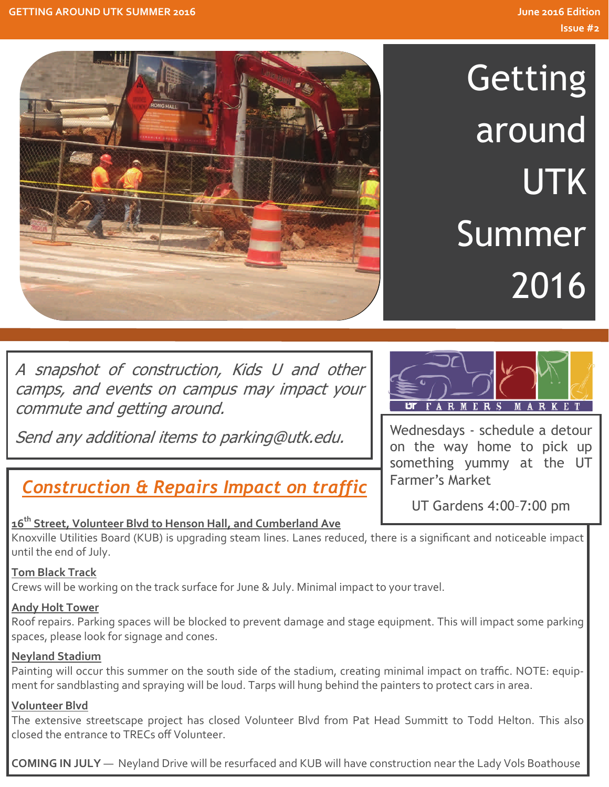

**Getting** around UTK Summer 2016

A snapshot of construction, Kids U and other camps, and events on campus may impact your commute and getting around.

Send any additional items to parking@utk.edu.

# *Construction & Repairs Impact on traffic*

## **16th Street, Volunteer Blvd to Henson Hall, and Cumberland Ave**

Knoxville Utilities Board (KUB) is upgrading steam lines. Lanes reduced, there is a significant and noticeable impact until the end of July.

## **Tom Black Track**

Crews will be working on the track surface for June & July. Minimal impact to your travel.

## **Andy Holt Tower**

Roof repairs. Parking spaces will be blocked to prevent damage and stage equipment. This will impact some parking spaces, please look for signage and cones.

## **Neyland Stadium**

Painting will occur this summer on the south side of the stadium, creating minimal impact on traffic. NOTE: equip‐ ment for sandblasting and spraying will be loud. Tarps will hung behind the painters to protect cars in area.

### **Volunteer Blvd**

The extensive streetscape project has closed Volunteer Blvd from Pat Head Summitt to Todd Helton. This also closed the entrance to TRECs off Volunteer.

1 of 1 **COMING IN JULY** — Neyland Drive will be resurfaced and KUB will have construction near the Lady Vols Boathouse



Wednesdays - schedule a detour on the way home to pick up something yummy at the UT Farmer's Market

UT Gardens 4:00–7:00 pm